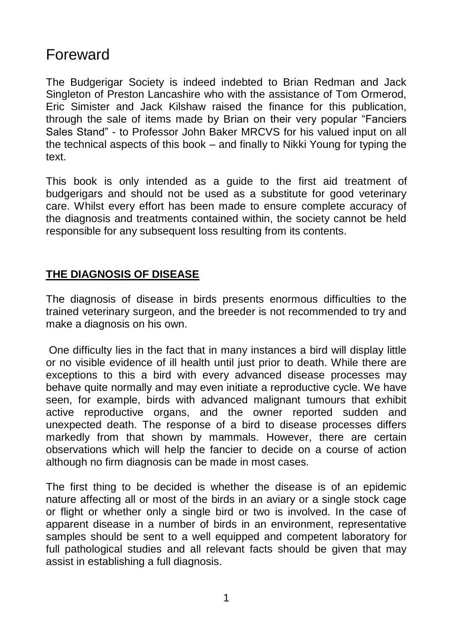# Foreward

The Budgerigar Society is indeed indebted to Brian Redman and Jack Singleton of Preston Lancashire who with the assistance of Tom Ormerod, Eric Simister and Jack Kilshaw raised the finance for this publication, through the sale of items made by Brian on their very popular "Fanciers Sales Stand" - to Professor John Baker MRCVS for his valued input on all the technical aspects of this book – and finally to Nikki Young for typing the text.

This book is only intended as a guide to the first aid treatment of budgerigars and should not be used as a substitute for good veterinary care. Whilst every effort has been made to ensure complete accuracy of the diagnosis and treatments contained within, the society cannot be held responsible for any subsequent loss resulting from its contents.

# **THE DIAGNOSIS OF DISEASE**

The diagnosis of disease in birds presents enormous difficulties to the trained veterinary surgeon, and the breeder is not recommended to try and make a diagnosis on his own.

One difficulty lies in the fact that in many instances a bird will display little or no visible evidence of ill health until just prior to death. While there are exceptions to this a bird with every advanced disease processes may behave quite normally and may even initiate a reproductive cycle. We have seen, for example, birds with advanced malignant tumours that exhibit active reproductive organs, and the owner reported sudden and unexpected death. The response of a bird to disease processes differs markedly from that shown by mammals. However, there are certain observations which will help the fancier to decide on a course of action although no firm diagnosis can be made in most cases.

The first thing to be decided is whether the disease is of an epidemic nature affecting all or most of the birds in an aviary or a single stock cage or flight or whether only a single bird or two is involved. In the case of apparent disease in a number of birds in an environment, representative samples should be sent to a well equipped and competent laboratory for full pathological studies and all relevant facts should be given that may assist in establishing a full diagnosis.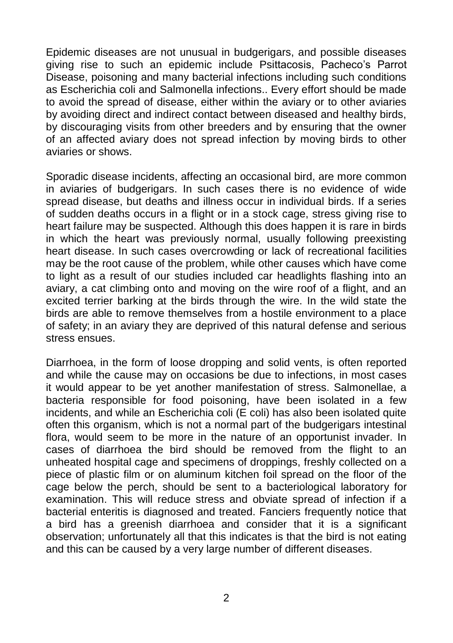Epidemic diseases are not unusual in budgerigars, and possible diseases giving rise to such an epidemic include Psittacosis, Pacheco's Parrot Disease, poisoning and many bacterial infections including such conditions as Escherichia coli and Salmonella infections.. Every effort should be made to avoid the spread of disease, either within the aviary or to other aviaries by avoiding direct and indirect contact between diseased and healthy birds, by discouraging visits from other breeders and by ensuring that the owner of an affected aviary does not spread infection by moving birds to other aviaries or shows.

Sporadic disease incidents, affecting an occasional bird, are more common in aviaries of budgerigars. In such cases there is no evidence of wide spread disease, but deaths and illness occur in individual birds. If a series of sudden deaths occurs in a flight or in a stock cage, stress giving rise to heart failure may be suspected. Although this does happen it is rare in birds in which the heart was previously normal, usually following preexisting heart disease. In such cases overcrowding or lack of recreational facilities may be the root cause of the problem, while other causes which have come to light as a result of our studies included car headlights flashing into an aviary, a cat climbing onto and moving on the wire roof of a flight, and an excited terrier barking at the birds through the wire. In the wild state the birds are able to remove themselves from a hostile environment to a place of safety; in an aviary they are deprived of this natural defense and serious stress ensues.

Diarrhoea, in the form of loose dropping and solid vents, is often reported and while the cause may on occasions be due to infections, in most cases it would appear to be yet another manifestation of stress. Salmonellae, a bacteria responsible for food poisoning, have been isolated in a few incidents, and while an Escherichia coli (E coli) has also been isolated quite often this organism, which is not a normal part of the budgerigars intestinal flora, would seem to be more in the nature of an opportunist invader. In cases of diarrhoea the bird should be removed from the flight to an unheated hospital cage and specimens of droppings, freshly collected on a piece of plastic film or on aluminum kitchen foil spread on the floor of the cage below the perch, should be sent to a bacteriological laboratory for examination. This will reduce stress and obviate spread of infection if a bacterial enteritis is diagnosed and treated. Fanciers frequently notice that a bird has a greenish diarrhoea and consider that it is a significant observation; unfortunately all that this indicates is that the bird is not eating and this can be caused by a very large number of different diseases.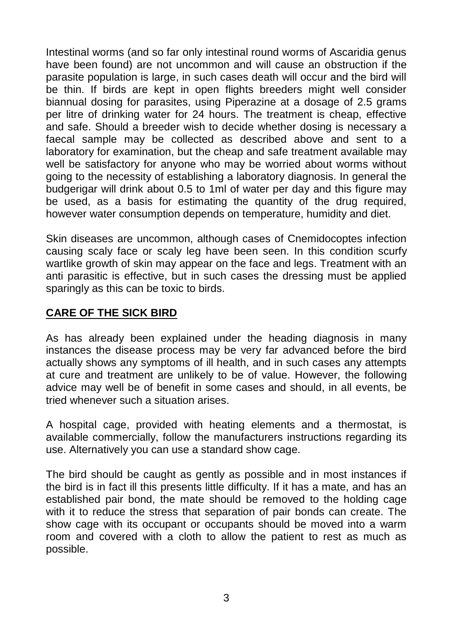Intestinal worms (and so far only intestinal round worms of Ascaridia genus have been found) are not uncommon and will cause an obstruction if the parasite population is large, in such cases death will occur and the bird will be thin. If birds are kept in open flights breeders might well consider biannual dosing for parasites, using Piperazine at a dosage of 2.5 grams per litre of drinking water for 24 hours. The treatment is cheap, effective and safe. Should a breeder wish to decide whether dosing is necessary a faecal sample may be collected as described above and sent to a laboratory for examination, but the cheap and safe treatment available may well be satisfactory for anyone who may be worried about worms without going to the necessity of establishing a laboratory diagnosis. In general the budgerigar will drink about 0.5 to 1ml of water per day and this figure may be used, as a basis for estimating the quantity of the drug required, however water consumption depends on temperature, humidity and diet.

Skin diseases are uncommon, although cases of Cnemidocoptes infection causing scaly face or scaly leg have been seen. In this condition scurfy wartlike growth of skin may appear on the face and legs. Treatment with an anti parasitic is effective, but in such cases the dressing must be applied sparingly as this can be toxic to birds.

#### **CARE OF THE SICK BIRD**

As has already been explained under the heading diagnosis in many instances the disease process may be very far advanced before the bird actually shows any symptoms of ill health, and in such cases any attempts at cure and treatment are unlikely to be of value. However, the following advice may well be of benefit in some cases and should, in all events, be tried whenever such a situation arises.

A hospital cage, provided with heating elements and a thermostat, is available commercially, follow the manufacturers instructions regarding its use. Alternatively you can use a standard show cage.

The bird should be caught as gently as possible and in most instances if the bird is in fact ill this presents little difficulty. If it has a mate, and has an established pair bond, the mate should be removed to the holding cage with it to reduce the stress that separation of pair bonds can create. The show cage with its occupant or occupants should be moved into a warm room and covered with a cloth to allow the patient to rest as much as possible.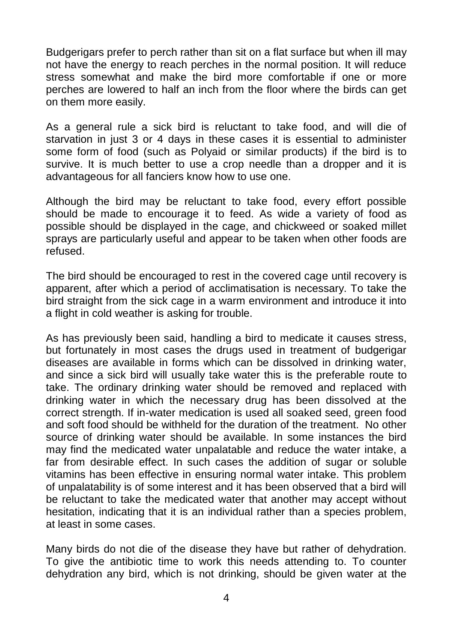Budgerigars prefer to perch rather than sit on a flat surface but when ill may not have the energy to reach perches in the normal position. It will reduce stress somewhat and make the bird more comfortable if one or more perches are lowered to half an inch from the floor where the birds can get on them more easily.

As a general rule a sick bird is reluctant to take food, and will die of starvation in just 3 or 4 days in these cases it is essential to administer some form of food (such as Polyaid or similar products) if the bird is to survive. It is much better to use a crop needle than a dropper and it is advantageous for all fanciers know how to use one.

Although the bird may be reluctant to take food, every effort possible should be made to encourage it to feed. As wide a variety of food as possible should be displayed in the cage, and chickweed or soaked millet sprays are particularly useful and appear to be taken when other foods are refused.

The bird should be encouraged to rest in the covered cage until recovery is apparent, after which a period of acclimatisation is necessary. To take the bird straight from the sick cage in a warm environment and introduce it into a flight in cold weather is asking for trouble.

As has previously been said, handling a bird to medicate it causes stress, but fortunately in most cases the drugs used in treatment of budgerigar diseases are available in forms which can be dissolved in drinking water, and since a sick bird will usually take water this is the preferable route to take. The ordinary drinking water should be removed and replaced with drinking water in which the necessary drug has been dissolved at the correct strength. If in-water medication is used all soaked seed, green food and soft food should be withheld for the duration of the treatment. No other source of drinking water should be available. In some instances the bird may find the medicated water unpalatable and reduce the water intake, a far from desirable effect. In such cases the addition of sugar or soluble vitamins has been effective in ensuring normal water intake. This problem of unpalatability is of some interest and it has been observed that a bird will be reluctant to take the medicated water that another may accept without hesitation, indicating that it is an individual rather than a species problem, at least in some cases.

Many birds do not die of the disease they have but rather of dehydration. To give the antibiotic time to work this needs attending to. To counter dehydration any bird, which is not drinking, should be given water at the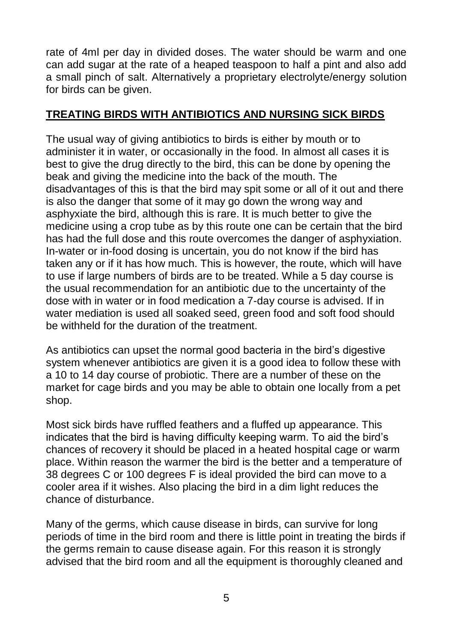rate of 4ml per day in divided doses. The water should be warm and one can add sugar at the rate of a heaped teaspoon to half a pint and also add a small pinch of salt. Alternatively a proprietary electrolyte/energy solution for birds can be given.

#### **TREATING BIRDS WITH ANTIBIOTICS AND NURSING SICK BIRDS**

The usual way of giving antibiotics to birds is either by mouth or to administer it in water, or occasionally in the food. In almost all cases it is best to give the drug directly to the bird, this can be done by opening the beak and giving the medicine into the back of the mouth. The disadvantages of this is that the bird may spit some or all of it out and there is also the danger that some of it may go down the wrong way and asphyxiate the bird, although this is rare. It is much better to give the medicine using a crop tube as by this route one can be certain that the bird has had the full dose and this route overcomes the danger of asphyxiation. In-water or in-food dosing is uncertain, you do not know if the bird has taken any or if it has how much. This is however, the route, which will have to use if large numbers of birds are to be treated. While a 5 day course is the usual recommendation for an antibiotic due to the uncertainty of the dose with in water or in food medication a 7-day course is advised. If in water mediation is used all soaked seed, green food and soft food should be withheld for the duration of the treatment.

As antibiotics can upset the normal good bacteria in the bird's digestive system whenever antibiotics are given it is a good idea to follow these with a 10 to 14 day course of probiotic. There are a number of these on the market for cage birds and you may be able to obtain one locally from a pet shop.

Most sick birds have ruffled feathers and a fluffed up appearance. This indicates that the bird is having difficulty keeping warm. To aid the bird's chances of recovery it should be placed in a heated hospital cage or warm place. Within reason the warmer the bird is the better and a temperature of 38 degrees C or 100 degrees F is ideal provided the bird can move to a cooler area if it wishes. Also placing the bird in a dim light reduces the chance of disturbance.

Many of the germs, which cause disease in birds, can survive for long periods of time in the bird room and there is little point in treating the birds if the germs remain to cause disease again. For this reason it is strongly advised that the bird room and all the equipment is thoroughly cleaned and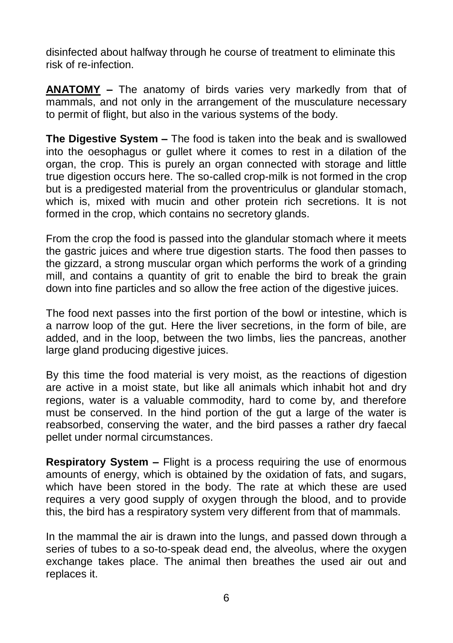disinfected about halfway through he course of treatment to eliminate this risk of re-infection.

**ANATOMY –** The anatomy of birds varies very markedly from that of mammals, and not only in the arrangement of the musculature necessary to permit of flight, but also in the various systems of the body.

**The Digestive System –** The food is taken into the beak and is swallowed into the oesophagus or gullet where it comes to rest in a dilation of the organ, the crop. This is purely an organ connected with storage and little true digestion occurs here. The so-called crop-milk is not formed in the crop but is a predigested material from the proventriculus or glandular stomach, which is, mixed with mucin and other protein rich secretions. It is not formed in the crop, which contains no secretory glands.

From the crop the food is passed into the glandular stomach where it meets the gastric juices and where true digestion starts. The food then passes to the gizzard, a strong muscular organ which performs the work of a grinding mill, and contains a quantity of grit to enable the bird to break the grain down into fine particles and so allow the free action of the digestive juices.

The food next passes into the first portion of the bowl or intestine, which is a narrow loop of the gut. Here the liver secretions, in the form of bile, are added, and in the loop, between the two limbs, lies the pancreas, another large gland producing digestive juices.

By this time the food material is very moist, as the reactions of digestion are active in a moist state, but like all animals which inhabit hot and dry regions, water is a valuable commodity, hard to come by, and therefore must be conserved. In the hind portion of the gut a large of the water is reabsorbed, conserving the water, and the bird passes a rather dry faecal pellet under normal circumstances.

**Respiratory System –** Flight is a process requiring the use of enormous amounts of energy, which is obtained by the oxidation of fats, and sugars, which have been stored in the body. The rate at which these are used requires a very good supply of oxygen through the blood, and to provide this, the bird has a respiratory system very different from that of mammals.

In the mammal the air is drawn into the lungs, and passed down through a series of tubes to a so-to-speak dead end, the alveolus, where the oxygen exchange takes place. The animal then breathes the used air out and replaces it.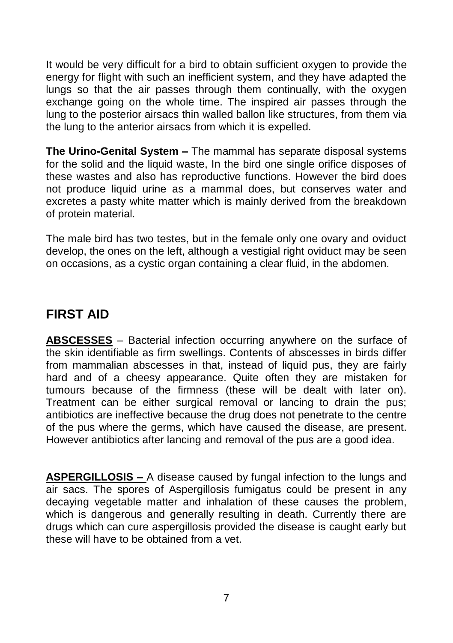It would be very difficult for a bird to obtain sufficient oxygen to provide the energy for flight with such an inefficient system, and they have adapted the lungs so that the air passes through them continually, with the oxygen exchange going on the whole time. The inspired air passes through the lung to the posterior airsacs thin walled ballon like structures, from them via the lung to the anterior airsacs from which it is expelled.

**The Urino-Genital System –** The mammal has separate disposal systems for the solid and the liquid waste, In the bird one single orifice disposes of these wastes and also has reproductive functions. However the bird does not produce liquid urine as a mammal does, but conserves water and excretes a pasty white matter which is mainly derived from the breakdown of protein material.

The male bird has two testes, but in the female only one ovary and oviduct develop, the ones on the left, although a vestigial right oviduct may be seen on occasions, as a cystic organ containing a clear fluid, in the abdomen.

# **FIRST AID**

**ABSCESSES** – Bacterial infection occurring anywhere on the surface of the skin identifiable as firm swellings. Contents of abscesses in birds differ from mammalian abscesses in that, instead of liquid pus, they are fairly hard and of a cheesy appearance. Quite often they are mistaken for tumours because of the firmness (these will be dealt with later on). Treatment can be either surgical removal or lancing to drain the pus; antibiotics are ineffective because the drug does not penetrate to the centre of the pus where the germs, which have caused the disease, are present. However antibiotics after lancing and removal of the pus are a good idea.

**ASPERGILLOSIS –** A disease caused by fungal infection to the lungs and air sacs. The spores of Aspergillosis fumigatus could be present in any decaying vegetable matter and inhalation of these causes the problem, which is dangerous and generally resulting in death. Currently there are drugs which can cure aspergillosis provided the disease is caught early but these will have to be obtained from a vet.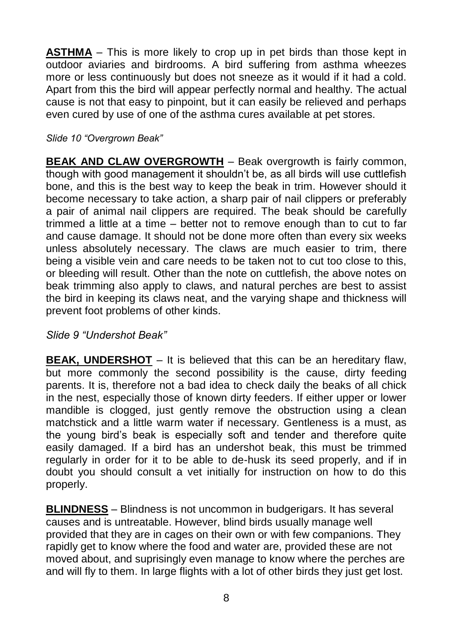**ASTHMA** – This is more likely to crop up in pet birds than those kept in outdoor aviaries and birdrooms. A bird suffering from asthma wheezes more or less continuously but does not sneeze as it would if it had a cold. Apart from this the bird will appear perfectly normal and healthy. The actual cause is not that easy to pinpoint, but it can easily be relieved and perhaps even cured by use of one of the asthma cures available at pet stores.

*Slide 10 "Overgrown Beak"*

**BEAK AND CLAW OVERGROWTH** – Beak overgrowth is fairly common, though with good management it shouldn't be, as all birds will use cuttlefish bone, and this is the best way to keep the beak in trim. However should it become necessary to take action, a sharp pair of nail clippers or preferably a pair of animal nail clippers are required. The beak should be carefully trimmed a little at a time – better not to remove enough than to cut to far and cause damage. It should not be done more often than every six weeks unless absolutely necessary. The claws are much easier to trim, there being a visible vein and care needs to be taken not to cut too close to this, or bleeding will result. Other than the note on cuttlefish, the above notes on beak trimming also apply to claws, and natural perches are best to assist the bird in keeping its claws neat, and the varying shape and thickness will prevent foot problems of other kinds.

*Slide 9 "Undershot Beak"*

**BEAK, UNDERSHOT** – It is believed that this can be an hereditary flaw, but more commonly the second possibility is the cause, dirty feeding parents. It is, therefore not a bad idea to check daily the beaks of all chick in the nest, especially those of known dirty feeders. If either upper or lower mandible is clogged, just gently remove the obstruction using a clean matchstick and a little warm water if necessary. Gentleness is a must, as the young bird's beak is especially soft and tender and therefore quite easily damaged. If a bird has an undershot beak, this must be trimmed regularly in order for it to be able to de-husk its seed properly, and if in doubt you should consult a vet initially for instruction on how to do this properly.

**BLINDNESS** – Blindness is not uncommon in budgerigars. It has several causes and is untreatable. However, blind birds usually manage well provided that they are in cages on their own or with few companions. They rapidly get to know where the food and water are, provided these are not moved about, and suprisingly even manage to know where the perches are and will fly to them. In large flights with a lot of other birds they just get lost.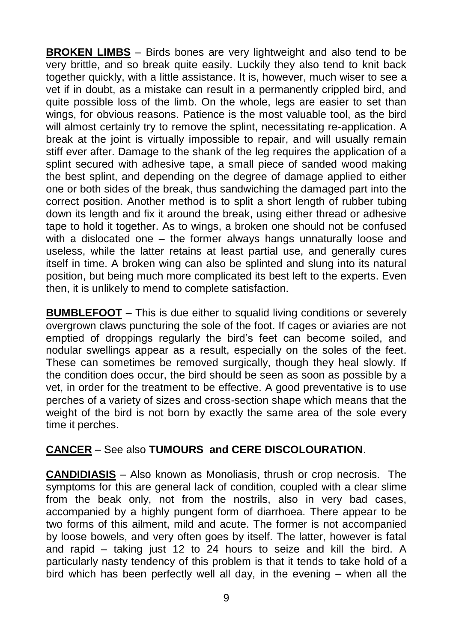**BROKEN LIMBS** – Birds bones are very lightweight and also tend to be very brittle, and so break quite easily. Luckily they also tend to knit back together quickly, with a little assistance. It is, however, much wiser to see a vet if in doubt, as a mistake can result in a permanently crippled bird, and quite possible loss of the limb. On the whole, legs are easier to set than wings, for obvious reasons. Patience is the most valuable tool, as the bird will almost certainly try to remove the splint, necessitating re-application. A break at the joint is virtually impossible to repair, and will usually remain stiff ever after. Damage to the shank of the leg requires the application of a splint secured with adhesive tape, a small piece of sanded wood making the best splint, and depending on the degree of damage applied to either one or both sides of the break, thus sandwiching the damaged part into the correct position. Another method is to split a short length of rubber tubing down its length and fix it around the break, using either thread or adhesive tape to hold it together. As to wings, a broken one should not be confused with a dislocated one – the former always hangs unnaturally loose and useless, while the latter retains at least partial use, and generally cures itself in time. A broken wing can also be splinted and slung into its natural position, but being much more complicated its best left to the experts. Even then, it is unlikely to mend to complete satisfaction.

**BUMBLEFOOT** – This is due either to squalid living conditions or severely overgrown claws puncturing the sole of the foot. If cages or aviaries are not emptied of droppings regularly the bird's feet can become soiled, and nodular swellings appear as a result, especially on the soles of the feet. These can sometimes be removed surgically, though they heal slowly. If the condition does occur, the bird should be seen as soon as possible by a vet, in order for the treatment to be effective. A good preventative is to use perches of a variety of sizes and cross-section shape which means that the weight of the bird is not born by exactly the same area of the sole every time it perches.

# **CANCER** – See also **TUMOURS and CERE DISCOLOURATION**.

**CANDIDIASIS** – Also known as Monoliasis, thrush or crop necrosis. The symptoms for this are general lack of condition, coupled with a clear slime from the beak only, not from the nostrils, also in very bad cases, accompanied by a highly pungent form of diarrhoea. There appear to be two forms of this ailment, mild and acute. The former is not accompanied by loose bowels, and very often goes by itself. The latter, however is fatal and rapid – taking just 12 to 24 hours to seize and kill the bird. A particularly nasty tendency of this problem is that it tends to take hold of a bird which has been perfectly well all day, in the evening – when all the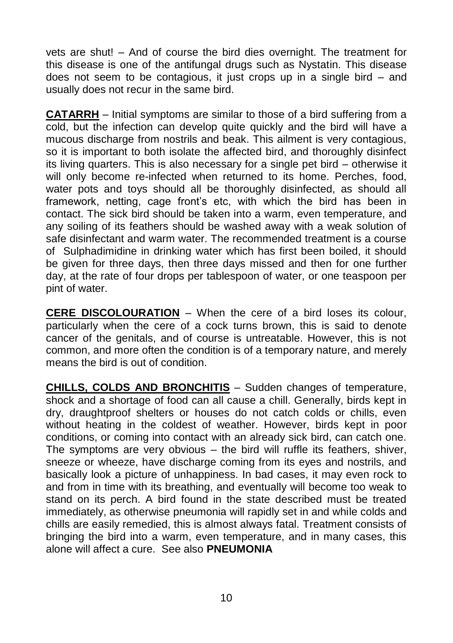vets are shut! – And of course the bird dies overnight. The treatment for this disease is one of the antifungal drugs such as Nystatin. This disease does not seem to be contagious, it just crops up in a single bird – and usually does not recur in the same bird.

**CATARRH** – Initial symptoms are similar to those of a bird suffering from a cold, but the infection can develop quite quickly and the bird will have a mucous discharge from nostrils and beak. This ailment is very contagious, so it is important to both isolate the affected bird, and thoroughly disinfect its living quarters. This is also necessary for a single pet bird – otherwise it will only become re-infected when returned to its home. Perches, food, water pots and toys should all be thoroughly disinfected, as should all framework, netting, cage front's etc, with which the bird has been in contact. The sick bird should be taken into a warm, even temperature, and any soiling of its feathers should be washed away with a weak solution of safe disinfectant and warm water. The recommended treatment is a course of Sulphadimidine in drinking water which has first been boiled, it should be given for three days, then three days missed and then for one further day, at the rate of four drops per tablespoon of water, or one teaspoon per pint of water.

**CERE DISCOLOURATION** – When the cere of a bird loses its colour, particularly when the cere of a cock turns brown, this is said to denote cancer of the genitals, and of course is untreatable. However, this is not common, and more often the condition is of a temporary nature, and merely means the bird is out of condition.

**CHILLS, COLDS AND BRONCHITIS** – Sudden changes of temperature, shock and a shortage of food can all cause a chill. Generally, birds kept in dry, draughtproof shelters or houses do not catch colds or chills, even without heating in the coldest of weather. However, birds kept in poor conditions, or coming into contact with an already sick bird, can catch one. The symptoms are very obvious – the bird will ruffle its feathers, shiver, sneeze or wheeze, have discharge coming from its eyes and nostrils, and basically look a picture of unhappiness. In bad cases, it may even rock to and from in time with its breathing, and eventually will become too weak to stand on its perch. A bird found in the state described must be treated immediately, as otherwise pneumonia will rapidly set in and while colds and chills are easily remedied, this is almost always fatal. Treatment consists of bringing the bird into a warm, even temperature, and in many cases, this alone will affect a cure. See also **PNEUMONIA**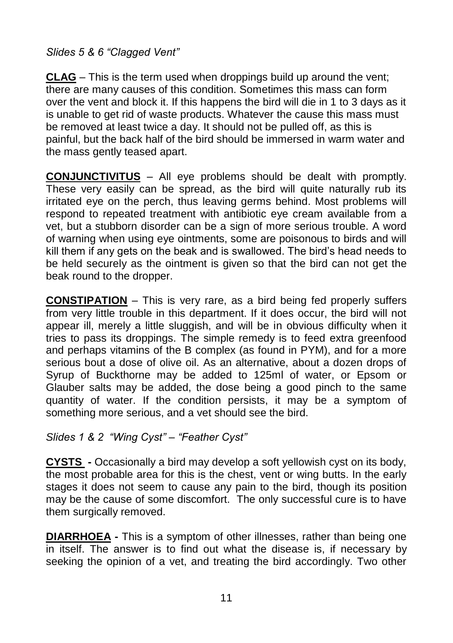# *Slides 5 & 6 "Clagged Vent"*

**CLAG** – This is the term used when droppings build up around the vent; there are many causes of this condition. Sometimes this mass can form over the vent and block it. If this happens the bird will die in 1 to 3 days as it is unable to get rid of waste products. Whatever the cause this mass must be removed at least twice a day. It should not be pulled off, as this is painful, but the back half of the bird should be immersed in warm water and the mass gently teased apart.

**CONJUNCTIVITUS** – All eye problems should be dealt with promptly. These very easily can be spread, as the bird will quite naturally rub its irritated eye on the perch, thus leaving germs behind. Most problems will respond to repeated treatment with antibiotic eye cream available from a vet, but a stubborn disorder can be a sign of more serious trouble. A word of warning when using eye ointments, some are poisonous to birds and will kill them if any gets on the beak and is swallowed. The bird's head needs to be held securely as the ointment is given so that the bird can not get the beak round to the dropper.

**CONSTIPATION** – This is very rare, as a bird being fed properly suffers from very little trouble in this department. If it does occur, the bird will not appear ill, merely a little sluggish, and will be in obvious difficulty when it tries to pass its droppings. The simple remedy is to feed extra greenfood and perhaps vitamins of the B complex (as found in PYM), and for a more serious bout a dose of olive oil. As an alternative, about a dozen drops of Syrup of Buckthorne may be added to 125ml of water, or Epsom or Glauber salts may be added, the dose being a good pinch to the same quantity of water. If the condition persists, it may be a symptom of something more serious, and a vet should see the bird.

# *Slides 1 & 2 "Wing Cyst" – "Feather Cyst"*

**CYSTS -** Occasionally a bird may develop a soft yellowish cyst on its body, the most probable area for this is the chest, vent or wing butts. In the early stages it does not seem to cause any pain to the bird, though its position may be the cause of some discomfort. The only successful cure is to have them surgically removed.

**DIARRHOEA -** This is a symptom of other illnesses, rather than being one in itself. The answer is to find out what the disease is, if necessary by seeking the opinion of a vet, and treating the bird accordingly. Two other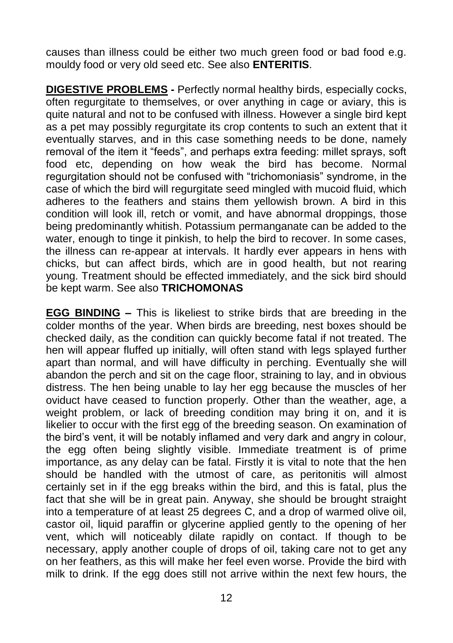causes than illness could be either two much green food or bad food e.g. mouldy food or very old seed etc. See also **ENTERITIS**.

**DIGESTIVE PROBLEMS -** Perfectly normal healthy birds, especially cocks, often regurgitate to themselves, or over anything in cage or aviary, this is quite natural and not to be confused with illness. However a single bird kept as a pet may possibly regurgitate its crop contents to such an extent that it eventually starves, and in this case something needs to be done, namely removal of the item it "feeds", and perhaps extra feeding: millet sprays, soft food etc, depending on how weak the bird has become. Normal regurgitation should not be confused with "trichomoniasis" syndrome, in the case of which the bird will regurgitate seed mingled with mucoid fluid, which adheres to the feathers and stains them yellowish brown. A bird in this condition will look ill, retch or vomit, and have abnormal droppings, those being predominantly whitish. Potassium permanganate can be added to the water, enough to tinge it pinkish, to help the bird to recover. In some cases, the illness can re-appear at intervals. It hardly ever appears in hens with chicks, but can affect birds, which are in good health, but not rearing young. Treatment should be effected immediately, and the sick bird should be kept warm. See also **TRICHOMONAS**

**EGG BINDING –** This is likeliest to strike birds that are breeding in the colder months of the year. When birds are breeding, nest boxes should be checked daily, as the condition can quickly become fatal if not treated. The hen will appear fluffed up initially, will often stand with legs splayed further apart than normal, and will have difficulty in perching. Eventually she will abandon the perch and sit on the cage floor, straining to lay, and in obvious distress. The hen being unable to lay her egg because the muscles of her oviduct have ceased to function properly. Other than the weather, age, a weight problem, or lack of breeding condition may bring it on, and it is likelier to occur with the first egg of the breeding season. On examination of the bird's vent, it will be notably inflamed and very dark and angry in colour, the egg often being slightly visible. Immediate treatment is of prime importance, as any delay can be fatal. Firstly it is vital to note that the hen should be handled with the utmost of care, as peritonitis will almost certainly set in if the egg breaks within the bird, and this is fatal, plus the fact that she will be in great pain. Anyway, she should be brought straight into a temperature of at least 25 degrees C, and a drop of warmed olive oil, castor oil, liquid paraffin or glycerine applied gently to the opening of her vent, which will noticeably dilate rapidly on contact. If though to be necessary, apply another couple of drops of oil, taking care not to get any on her feathers, as this will make her feel even worse. Provide the bird with milk to drink. If the egg does still not arrive within the next few hours, the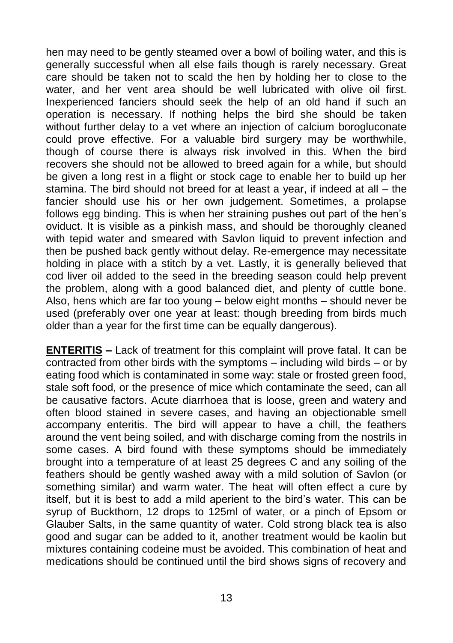hen may need to be gently steamed over a bowl of boiling water, and this is generally successful when all else fails though is rarely necessary. Great care should be taken not to scald the hen by holding her to close to the water, and her vent area should be well lubricated with olive oil first. Inexperienced fanciers should seek the help of an old hand if such an operation is necessary. If nothing helps the bird she should be taken without further delay to a vet where an injection of calcium borogluconate could prove effective. For a valuable bird surgery may be worthwhile, though of course there is always risk involved in this. When the bird recovers she should not be allowed to breed again for a while, but should be given a long rest in a flight or stock cage to enable her to build up her stamina. The bird should not breed for at least a year, if indeed at all – the fancier should use his or her own judgement. Sometimes, a prolapse follows egg binding. This is when her straining pushes out part of the hen's oviduct. It is visible as a pinkish mass, and should be thoroughly cleaned with tepid water and smeared with Savlon liquid to prevent infection and then be pushed back gently without delay. Re-emergence may necessitate holding in place with a stitch by a vet. Lastly, it is generally believed that cod liver oil added to the seed in the breeding season could help prevent the problem, along with a good balanced diet, and plenty of cuttle bone. Also, hens which are far too young – below eight months – should never be used (preferably over one year at least: though breeding from birds much older than a year for the first time can be equally dangerous).

**ENTERITIS –** Lack of treatment for this complaint will prove fatal. It can be contracted from other birds with the symptoms – including wild birds – or by eating food which is contaminated in some way: stale or frosted green food, stale soft food, or the presence of mice which contaminate the seed, can all be causative factors. Acute diarrhoea that is loose, green and watery and often blood stained in severe cases, and having an objectionable smell accompany enteritis. The bird will appear to have a chill, the feathers around the vent being soiled, and with discharge coming from the nostrils in some cases. A bird found with these symptoms should be immediately brought into a temperature of at least 25 degrees C and any soiling of the feathers should be gently washed away with a mild solution of Savlon (or something similar) and warm water. The heat will often effect a cure by itself, but it is best to add a mild aperient to the bird's water. This can be syrup of Buckthorn, 12 drops to 125ml of water, or a pinch of Epsom or Glauber Salts, in the same quantity of water. Cold strong black tea is also good and sugar can be added to it, another treatment would be kaolin but mixtures containing codeine must be avoided. This combination of heat and medications should be continued until the bird shows signs of recovery and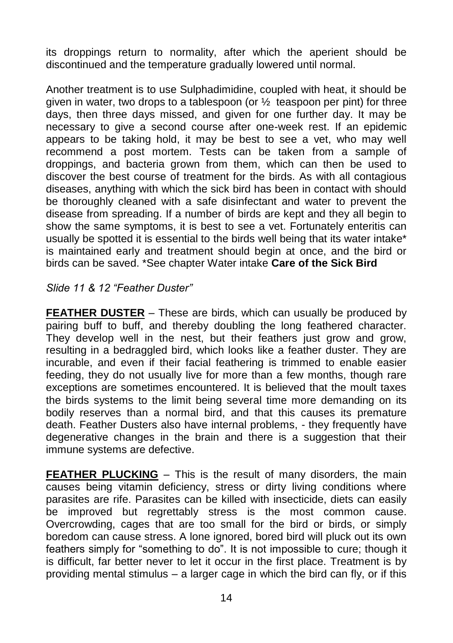its droppings return to normality, after which the aperient should be discontinued and the temperature gradually lowered until normal.

Another treatment is to use Sulphadimidine, coupled with heat, it should be given in water, two drops to a tablespoon (or  $\frac{1}{2}$  teaspoon per pint) for three days, then three days missed, and given for one further day. It may be necessary to give a second course after one-week rest. If an epidemic appears to be taking hold, it may be best to see a vet, who may well recommend a post mortem. Tests can be taken from a sample of droppings, and bacteria grown from them, which can then be used to discover the best course of treatment for the birds. As with all contagious diseases, anything with which the sick bird has been in contact with should be thoroughly cleaned with a safe disinfectant and water to prevent the disease from spreading. If a number of birds are kept and they all begin to show the same symptoms, it is best to see a vet. Fortunately enteritis can usually be spotted it is essential to the birds well being that its water intake\* is maintained early and treatment should begin at once, and the bird or birds can be saved. \*See chapter Water intake **Care of the Sick Bird**

#### *Slide 11 & 12 "Feather Duster"*

**FEATHER DUSTER** – These are birds, which can usually be produced by pairing buff to buff, and thereby doubling the long feathered character. They develop well in the nest, but their feathers just grow and grow, resulting in a bedraggled bird, which looks like a feather duster. They are incurable, and even if their facial feathering is trimmed to enable easier feeding, they do not usually live for more than a few months, though rare exceptions are sometimes encountered. It is believed that the moult taxes the birds systems to the limit being several time more demanding on its bodily reserves than a normal bird, and that this causes its premature death. Feather Dusters also have internal problems, - they frequently have degenerative changes in the brain and there is a suggestion that their immune systems are defective.

**FEATHER PLUCKING** – This is the result of many disorders, the main causes being vitamin deficiency, stress or dirty living conditions where parasites are rife. Parasites can be killed with insecticide, diets can easily be improved but regrettably stress is the most common cause. Overcrowding, cages that are too small for the bird or birds, or simply boredom can cause stress. A lone ignored, bored bird will pluck out its own feathers simply for "something to do". It is not impossible to cure; though it is difficult, far better never to let it occur in the first place. Treatment is by providing mental stimulus – a larger cage in which the bird can fly, or if this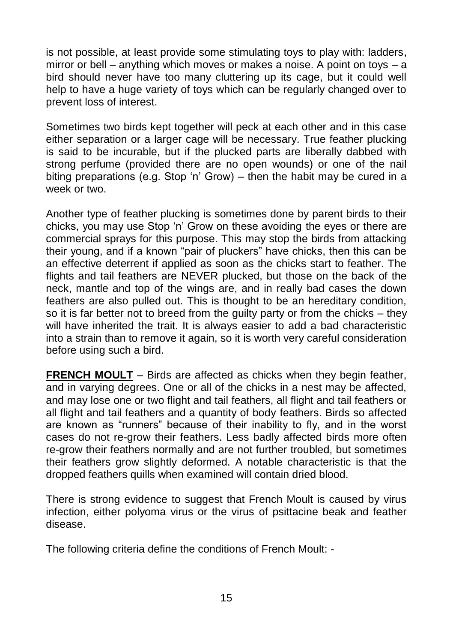is not possible, at least provide some stimulating toys to play with: ladders, mirror or bell – anything which moves or makes a noise. A point on toys – a bird should never have too many cluttering up its cage, but it could well help to have a huge variety of toys which can be regularly changed over to prevent loss of interest.

Sometimes two birds kept together will peck at each other and in this case either separation or a larger cage will be necessary. True feather plucking is said to be incurable, but if the plucked parts are liberally dabbed with strong perfume (provided there are no open wounds) or one of the nail biting preparations (e.g. Stop 'n' Grow) – then the habit may be cured in a week or two.

Another type of feather plucking is sometimes done by parent birds to their chicks, you may use Stop 'n' Grow on these avoiding the eyes or there are commercial sprays for this purpose. This may stop the birds from attacking their young, and if a known "pair of pluckers" have chicks, then this can be an effective deterrent if applied as soon as the chicks start to feather. The flights and tail feathers are NEVER plucked, but those on the back of the neck, mantle and top of the wings are, and in really bad cases the down feathers are also pulled out. This is thought to be an hereditary condition, so it is far better not to breed from the guilty party or from the chicks – they will have inherited the trait. It is always easier to add a bad characteristic into a strain than to remove it again, so it is worth very careful consideration before using such a bird.

**FRENCH MOULT** – Birds are affected as chicks when they begin feather, and in varying degrees. One or all of the chicks in a nest may be affected, and may lose one or two flight and tail feathers, all flight and tail feathers or all flight and tail feathers and a quantity of body feathers. Birds so affected are known as "runners" because of their inability to fly, and in the worst cases do not re-grow their feathers. Less badly affected birds more often re-grow their feathers normally and are not further troubled, but sometimes their feathers grow slightly deformed. A notable characteristic is that the dropped feathers quills when examined will contain dried blood.

There is strong evidence to suggest that French Moult is caused by virus infection, either polyoma virus or the virus of psittacine beak and feather disease.

The following criteria define the conditions of French Moult: -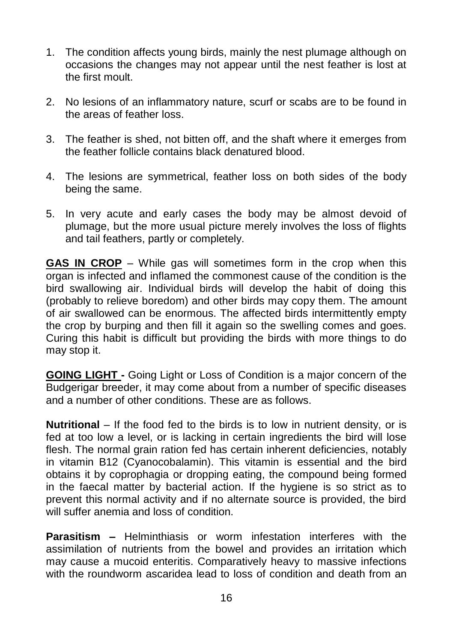- 1. The condition affects young birds, mainly the nest plumage although on occasions the changes may not appear until the nest feather is lost at the first moult.
- 2. No lesions of an inflammatory nature, scurf or scabs are to be found in the areas of feather loss.
- 3. The feather is shed, not bitten off, and the shaft where it emerges from the feather follicle contains black denatured blood.
- 4. The lesions are symmetrical, feather loss on both sides of the body being the same.
- 5. In very acute and early cases the body may be almost devoid of plumage, but the more usual picture merely involves the loss of flights and tail feathers, partly or completely.

**GAS IN CROP** – While gas will sometimes form in the crop when this organ is infected and inflamed the commonest cause of the condition is the bird swallowing air. Individual birds will develop the habit of doing this (probably to relieve boredom) and other birds may copy them. The amount of air swallowed can be enormous. The affected birds intermittently empty the crop by burping and then fill it again so the swelling comes and goes. Curing this habit is difficult but providing the birds with more things to do may stop it.

**GOING LIGHT -** Going Light or Loss of Condition is a major concern of the Budgerigar breeder, it may come about from a number of specific diseases and a number of other conditions. These are as follows.

**Nutritional** – If the food fed to the birds is to low in nutrient density, or is fed at too low a level, or is lacking in certain ingredients the bird will lose flesh. The normal grain ration fed has certain inherent deficiencies, notably in vitamin B12 (Cyanocobalamin). This vitamin is essential and the bird obtains it by coprophagia or dropping eating, the compound being formed in the faecal matter by bacterial action. If the hygiene is so strict as to prevent this normal activity and if no alternate source is provided, the bird will suffer anemia and loss of condition.

**Parasitism –** Helminthiasis or worm infestation interferes with the assimilation of nutrients from the bowel and provides an irritation which may cause a mucoid enteritis. Comparatively heavy to massive infections with the roundworm ascaridea lead to loss of condition and death from an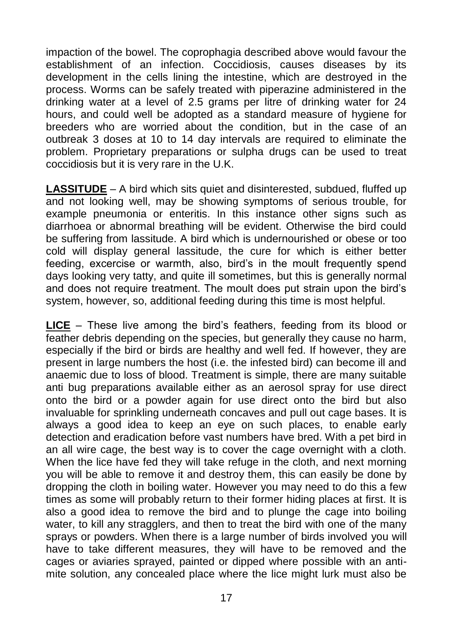impaction of the bowel. The coprophagia described above would favour the establishment of an infection. Coccidiosis, causes diseases by its development in the cells lining the intestine, which are destroyed in the process. Worms can be safely treated with piperazine administered in the drinking water at a level of 2.5 grams per litre of drinking water for 24 hours, and could well be adopted as a standard measure of hygiene for breeders who are worried about the condition, but in the case of an outbreak 3 doses at 10 to 14 day intervals are required to eliminate the problem. Proprietary preparations or sulpha drugs can be used to treat coccidiosis but it is very rare in the U.K.

**LASSITUDE** – A bird which sits quiet and disinterested, subdued, fluffed up and not looking well, may be showing symptoms of serious trouble, for example pneumonia or enteritis. In this instance other signs such as diarrhoea or abnormal breathing will be evident. Otherwise the bird could be suffering from lassitude. A bird which is undernourished or obese or too cold will display general lassitude, the cure for which is either better feeding, excercise or warmth, also, bird's in the moult frequently spend days looking very tatty, and quite ill sometimes, but this is generally normal and does not require treatment. The moult does put strain upon the bird's system, however, so, additional feeding during this time is most helpful.

**LICE** – These live among the bird's feathers, feeding from its blood or feather debris depending on the species, but generally they cause no harm, especially if the bird or birds are healthy and well fed. If however, they are present in large numbers the host (i.e. the infested bird) can become ill and anaemic due to loss of blood. Treatment is simple, there are many suitable anti bug preparations available either as an aerosol spray for use direct onto the bird or a powder again for use direct onto the bird but also invaluable for sprinkling underneath concaves and pull out cage bases. It is always a good idea to keep an eye on such places, to enable early detection and eradication before vast numbers have bred. With a pet bird in an all wire cage, the best way is to cover the cage overnight with a cloth. When the lice have fed they will take refuge in the cloth, and next morning you will be able to remove it and destroy them, this can easily be done by dropping the cloth in boiling water. However you may need to do this a few times as some will probably return to their former hiding places at first. It is also a good idea to remove the bird and to plunge the cage into boiling water, to kill any stragglers, and then to treat the bird with one of the many sprays or powders. When there is a large number of birds involved you will have to take different measures, they will have to be removed and the cages or aviaries sprayed, painted or dipped where possible with an antimite solution, any concealed place where the lice might lurk must also be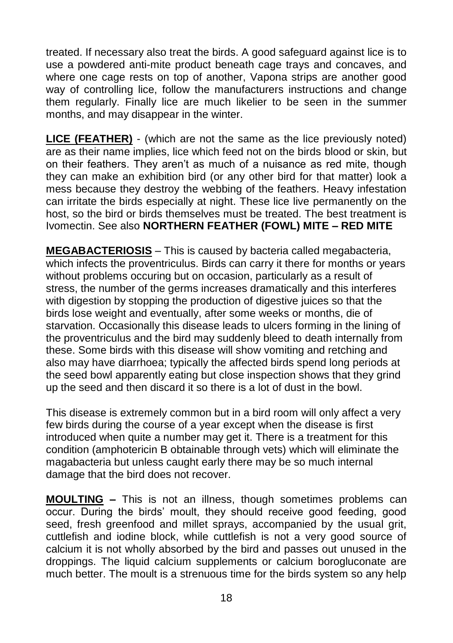treated. If necessary also treat the birds. A good safeguard against lice is to use a powdered anti-mite product beneath cage trays and concaves, and where one cage rests on top of another, Vapona strips are another good way of controlling lice, follow the manufacturers instructions and change them regularly. Finally lice are much likelier to be seen in the summer months, and may disappear in the winter.

**LICE (FEATHER)** - (which are not the same as the lice previously noted) are as their name implies, lice which feed not on the birds blood or skin, but on their feathers. They aren't as much of a nuisance as red mite, though they can make an exhibition bird (or any other bird for that matter) look a mess because they destroy the webbing of the feathers. Heavy infestation can irritate the birds especially at night. These lice live permanently on the host, so the bird or birds themselves must be treated. The best treatment is Ivomectin. See also **NORTHERN FEATHER (FOWL) MITE – RED MITE**

**MEGABACTERIOSIS** – This is caused by bacteria called megabacteria, which infects the proventriculus. Birds can carry it there for months or years without problems occuring but on occasion, particularly as a result of stress, the number of the germs increases dramatically and this interferes with digestion by stopping the production of digestive juices so that the birds lose weight and eventually, after some weeks or months, die of starvation. Occasionally this disease leads to ulcers forming in the lining of the proventriculus and the bird may suddenly bleed to death internally from these. Some birds with this disease will show vomiting and retching and also may have diarrhoea; typically the affected birds spend long periods at the seed bowl apparently eating but close inspection shows that they grind up the seed and then discard it so there is a lot of dust in the bowl.

This disease is extremely common but in a bird room will only affect a very few birds during the course of a year except when the disease is first introduced when quite a number may get it. There is a treatment for this condition (amphotericin B obtainable through vets) which will eliminate the magabacteria but unless caught early there may be so much internal damage that the bird does not recover.

**MOULTING –** This is not an illness, though sometimes problems can occur. During the birds' moult, they should receive good feeding, good seed, fresh greenfood and millet sprays, accompanied by the usual grit, cuttlefish and iodine block, while cuttlefish is not a very good source of calcium it is not wholly absorbed by the bird and passes out unused in the droppings. The liquid calcium supplements or calcium borogluconate are much better. The moult is a strenuous time for the birds system so any help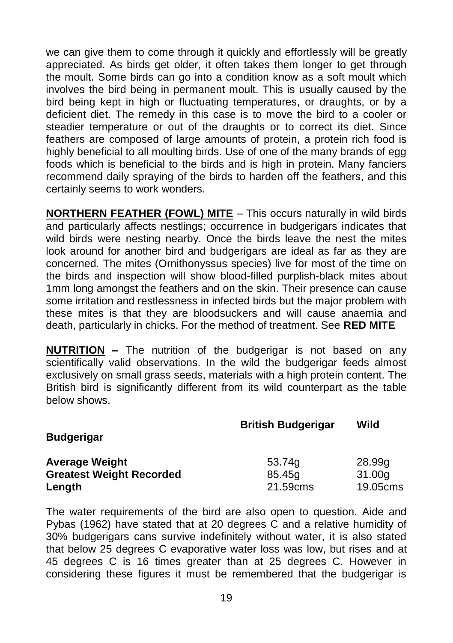we can give them to come through it quickly and effortlessly will be greatly appreciated. As birds get older, it often takes them longer to get through the moult. Some birds can go into a condition know as a soft moult which involves the bird being in permanent moult. This is usually caused by the bird being kept in high or fluctuating temperatures, or draughts, or by a deficient diet. The remedy in this case is to move the bird to a cooler or steadier temperature or out of the draughts or to correct its diet. Since feathers are composed of large amounts of protein, a protein rich food is highly beneficial to all moulting birds. Use of one of the many brands of egg foods which is beneficial to the birds and is high in protein. Many fanciers recommend daily spraying of the birds to harden off the feathers, and this certainly seems to work wonders.

**NORTHERN FEATHER (FOWL) MITE** – This occurs naturally in wild birds and particularly affects nestlings; occurrence in budgerigars indicates that wild birds were nesting nearby. Once the birds leave the nest the mites look around for another bird and budgerigars are ideal as far as they are concerned. The mites (Ornithonyssus species) live for most of the time on the birds and inspection will show blood-filled purplish-black mites about 1mm long amongst the feathers and on the skin. Their presence can cause some irritation and restlessness in infected birds but the major problem with these mites is that they are bloodsuckers and will cause anaemia and death, particularly in chicks. For the method of treatment. See **RED MITE**

**NUTRITION –** The nutrition of the budgerigar is not based on any scientifically valid observations. In the wild the budgerigar feeds almost exclusively on small grass seeds, materials with a high protein content. The British bird is significantly different from its wild counterpart as the table below shows.

|                                 | <b>British Budgerigar</b> | Wild     |
|---------------------------------|---------------------------|----------|
| <b>Budgerigar</b>               |                           |          |
| <b>Average Weight</b>           | 53.74g                    | 28.99g   |
| <b>Greatest Weight Recorded</b> | 85.45g                    | 31.00g   |
| Length                          | 21.59cms                  | 19.05cms |

The water requirements of the bird are also open to question. Aide and Pybas (1962) have stated that at 20 degrees C and a relative humidity of 30% budgerigars cans survive indefinitely without water, it is also stated that below 25 degrees C evaporative water loss was low, but rises and at 45 degrees C is 16 times greater than at 25 degrees C. However in considering these figures it must be remembered that the budgerigar is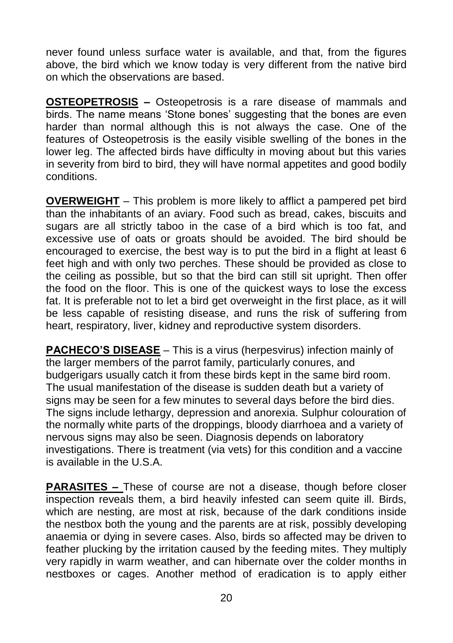never found unless surface water is available, and that, from the figures above, the bird which we know today is very different from the native bird on which the observations are based.

**OSTEOPETROSIS –** Osteopetrosis is a rare disease of mammals and birds. The name means 'Stone bones' suggesting that the bones are even harder than normal although this is not always the case. One of the features of Osteopetrosis is the easily visible swelling of the bones in the lower leg. The affected birds have difficulty in moving about but this varies in severity from bird to bird, they will have normal appetites and good bodily conditions.

**OVERWEIGHT** – This problem is more likely to afflict a pampered pet bird than the inhabitants of an aviary. Food such as bread, cakes, biscuits and sugars are all strictly taboo in the case of a bird which is too fat, and excessive use of oats or groats should be avoided. The bird should be encouraged to exercise, the best way is to put the bird in a flight at least 6 feet high and with only two perches. These should be provided as close to the ceiling as possible, but so that the bird can still sit upright. Then offer the food on the floor. This is one of the quickest ways to lose the excess fat. It is preferable not to let a bird get overweight in the first place, as it will be less capable of resisting disease, and runs the risk of suffering from heart, respiratory, liver, kidney and reproductive system disorders.

**PACHECO'S DISEASE** – This is a virus (herpesvirus) infection mainly of the larger members of the parrot family, particularly conures, and budgerigars usually catch it from these birds kept in the same bird room. The usual manifestation of the disease is sudden death but a variety of signs may be seen for a few minutes to several days before the bird dies. The signs include lethargy, depression and anorexia. Sulphur colouration of the normally white parts of the droppings, bloody diarrhoea and a variety of nervous signs may also be seen. Diagnosis depends on laboratory investigations. There is treatment (via vets) for this condition and a vaccine is available in the U.S.A.

**PARASITES –** These of course are not a disease, though before closer inspection reveals them, a bird heavily infested can seem quite ill. Birds, which are nesting, are most at risk, because of the dark conditions inside the nestbox both the young and the parents are at risk, possibly developing anaemia or dying in severe cases. Also, birds so affected may be driven to feather plucking by the irritation caused by the feeding mites. They multiply very rapidly in warm weather, and can hibernate over the colder months in nestboxes or cages. Another method of eradication is to apply either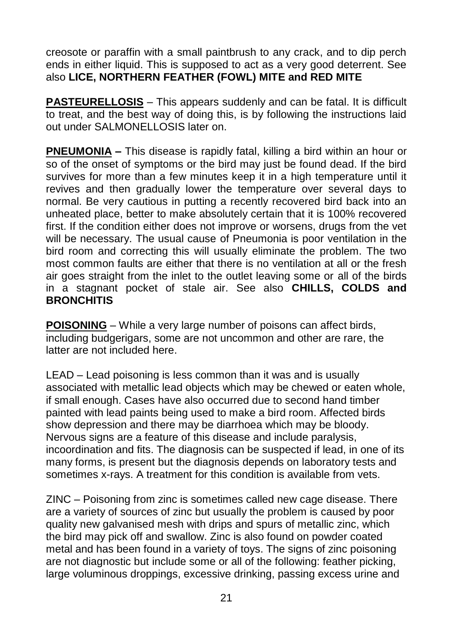creosote or paraffin with a small paintbrush to any crack, and to dip perch ends in either liquid. This is supposed to act as a very good deterrent. See also **LICE, NORTHERN FEATHER (FOWL) MITE and RED MITE**

**PASTEURELLOSIS** – This appears suddenly and can be fatal. It is difficult to treat, and the best way of doing this, is by following the instructions laid out under SALMONELLOSIS later on.

**PNEUMONIA –** This disease is rapidly fatal, killing a bird within an hour or so of the onset of symptoms or the bird may just be found dead. If the bird survives for more than a few minutes keep it in a high temperature until it revives and then gradually lower the temperature over several days to normal. Be very cautious in putting a recently recovered bird back into an unheated place, better to make absolutely certain that it is 100% recovered first. If the condition either does not improve or worsens, drugs from the vet will be necessary. The usual cause of Pneumonia is poor ventilation in the bird room and correcting this will usually eliminate the problem. The two most common faults are either that there is no ventilation at all or the fresh air goes straight from the inlet to the outlet leaving some or all of the birds in a stagnant pocket of stale air. See also **CHILLS, COLDS and BRONCHITIS**

**POISONING** – While a very large number of poisons can affect birds, including budgerigars, some are not uncommon and other are rare, the latter are not included here.

LEAD – Lead poisoning is less common than it was and is usually associated with metallic lead objects which may be chewed or eaten whole, if small enough. Cases have also occurred due to second hand timber painted with lead paints being used to make a bird room. Affected birds show depression and there may be diarrhoea which may be bloody. Nervous signs are a feature of this disease and include paralysis, incoordination and fits. The diagnosis can be suspected if lead, in one of its many forms, is present but the diagnosis depends on laboratory tests and sometimes x-rays. A treatment for this condition is available from vets.

ZINC – Poisoning from zinc is sometimes called new cage disease. There are a variety of sources of zinc but usually the problem is caused by poor quality new galvanised mesh with drips and spurs of metallic zinc, which the bird may pick off and swallow. Zinc is also found on powder coated metal and has been found in a variety of toys. The signs of zinc poisoning are not diagnostic but include some or all of the following: feather picking, large voluminous droppings, excessive drinking, passing excess urine and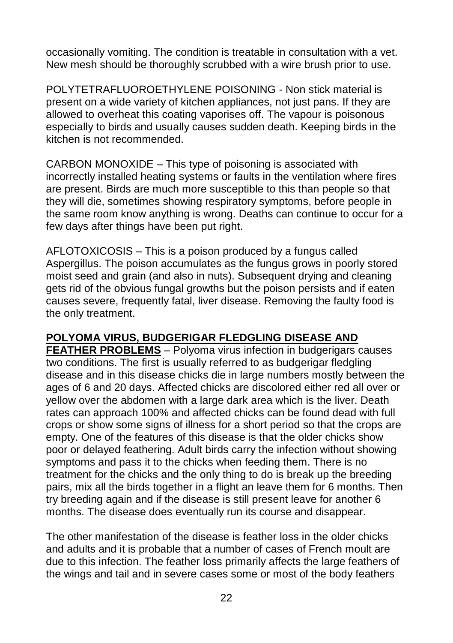occasionally vomiting. The condition is treatable in consultation with a vet. New mesh should be thoroughly scrubbed with a wire brush prior to use.

POLYTETRAFLUOROETHYLENE POISONING - Non stick material is present on a wide variety of kitchen appliances, not just pans. If they are allowed to overheat this coating vaporises off. The vapour is poisonous especially to birds and usually causes sudden death. Keeping birds in the kitchen is not recommended.

CARBON MONOXIDE – This type of poisoning is associated with incorrectly installed heating systems or faults in the ventilation where fires are present. Birds are much more susceptible to this than people so that they will die, sometimes showing respiratory symptoms, before people in the same room know anything is wrong. Deaths can continue to occur for a few days after things have been put right.

AFLOTOXICOSIS – This is a poison produced by a fungus called Aspergillus. The poison accumulates as the fungus grows in poorly stored moist seed and grain (and also in nuts). Subsequent drying and cleaning gets rid of the obvious fungal growths but the poison persists and if eaten causes severe, frequently fatal, liver disease. Removing the faulty food is the only treatment.

# **POLYOMA VIRUS, BUDGERIGAR FLEDGLING DISEASE AND**

**FEATHER PROBLEMS** – Polyoma virus infection in budgerigars causes two conditions. The first is usually referred to as budgerigar fledgling disease and in this disease chicks die in large numbers mostly between the ages of 6 and 20 days. Affected chicks are discolored either red all over or yellow over the abdomen with a large dark area which is the liver. Death rates can approach 100% and affected chicks can be found dead with full crops or show some signs of illness for a short period so that the crops are empty. One of the features of this disease is that the older chicks show poor or delayed feathering. Adult birds carry the infection without showing symptoms and pass it to the chicks when feeding them. There is no treatment for the chicks and the only thing to do is break up the breeding pairs, mix all the birds together in a flight an leave them for 6 months. Then try breeding again and if the disease is still present leave for another 6 months. The disease does eventually run its course and disappear.

The other manifestation of the disease is feather loss in the older chicks and adults and it is probable that a number of cases of French moult are due to this infection. The feather loss primarily affects the large feathers of the wings and tail and in severe cases some or most of the body feathers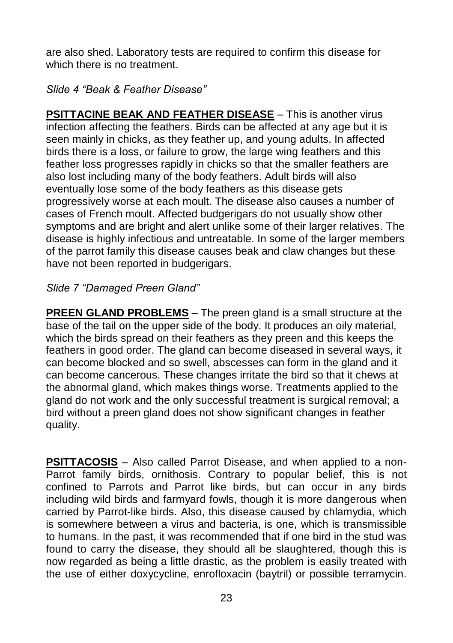are also shed. Laboratory tests are required to confirm this disease for which there is no treatment.

*Slide 4 "Beak & Feather Disease"*

**PSITTACINE BEAK AND FEATHER DISEASE** – This is another virus infection affecting the feathers. Birds can be affected at any age but it is seen mainly in chicks, as they feather up, and young adults. In affected birds there is a loss, or failure to grow, the large wing feathers and this feather loss progresses rapidly in chicks so that the smaller feathers are also lost including many of the body feathers. Adult birds will also eventually lose some of the body feathers as this disease gets progressively worse at each moult. The disease also causes a number of cases of French moult. Affected budgerigars do not usually show other symptoms and are bright and alert unlike some of their larger relatives. The disease is highly infectious and untreatable. In some of the larger members of the parrot family this disease causes beak and claw changes but these have not been reported in budgerigars.

*Slide 7 "Damaged Preen Gland"*

**PREEN GLAND PROBLEMS** – The preen gland is a small structure at the base of the tail on the upper side of the body. It produces an oily material, which the birds spread on their feathers as they preen and this keeps the feathers in good order. The gland can become diseased in several ways, it can become blocked and so swell, abscesses can form in the gland and it can become cancerous. These changes irritate the bird so that it chews at the abnormal gland, which makes things worse. Treatments applied to the gland do not work and the only successful treatment is surgical removal; a bird without a preen gland does not show significant changes in feather quality.

**PSITTACOSIS** – Also called Parrot Disease, and when applied to a non-Parrot family birds, ornithosis. Contrary to popular belief, this is not confined to Parrots and Parrot like birds, but can occur in any birds including wild birds and farmyard fowls, though it is more dangerous when carried by Parrot-like birds. Also, this disease caused by chlamydia, which is somewhere between a virus and bacteria, is one, which is transmissible to humans. In the past, it was recommended that if one bird in the stud was found to carry the disease, they should all be slaughtered, though this is now regarded as being a little drastic, as the problem is easily treated with the use of either doxycycline, enrofloxacin (baytril) or possible terramycin.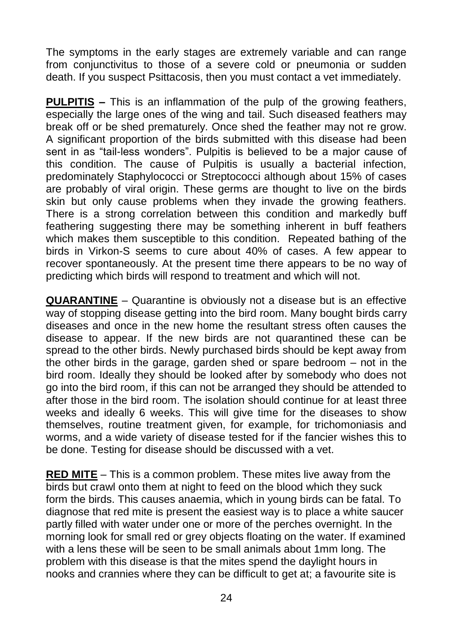The symptoms in the early stages are extremely variable and can range from conjunctivitus to those of a severe cold or pneumonia or sudden death. If you suspect Psittacosis, then you must contact a vet immediately.

**PULPITIS –** This is an inflammation of the pulp of the growing feathers, especially the large ones of the wing and tail. Such diseased feathers may break off or be shed prematurely. Once shed the feather may not re grow. A significant proportion of the birds submitted with this disease had been sent in as "tail-less wonders". Pulpitis is believed to be a major cause of this condition. The cause of Pulpitis is usually a bacterial infection, predominately Staphylococci or Streptococci although about 15% of cases are probably of viral origin. These germs are thought to live on the birds skin but only cause problems when they invade the growing feathers. There is a strong correlation between this condition and markedly buff feathering suggesting there may be something inherent in buff feathers which makes them susceptible to this condition. Repeated bathing of the birds in Virkon-S seems to cure about 40% of cases. A few appear to recover spontaneously. At the present time there appears to be no way of predicting which birds will respond to treatment and which will not.

**QUARANTINE** – Quarantine is obviously not a disease but is an effective way of stopping disease getting into the bird room. Many bought birds carry diseases and once in the new home the resultant stress often causes the disease to appear. If the new birds are not quarantined these can be spread to the other birds. Newly purchased birds should be kept away from the other birds in the garage, garden shed or spare bedroom – not in the bird room. Ideally they should be looked after by somebody who does not go into the bird room, if this can not be arranged they should be attended to after those in the bird room. The isolation should continue for at least three weeks and ideally 6 weeks. This will give time for the diseases to show themselves, routine treatment given, for example, for trichomoniasis and worms, and a wide variety of disease tested for if the fancier wishes this to be done. Testing for disease should be discussed with a vet.

**RED MITE** – This is a common problem. These mites live away from the birds but crawl onto them at night to feed on the blood which they suck form the birds. This causes anaemia, which in young birds can be fatal. To diagnose that red mite is present the easiest way is to place a white saucer partly filled with water under one or more of the perches overnight. In the morning look for small red or grey objects floating on the water. If examined with a lens these will be seen to be small animals about 1mm long. The problem with this disease is that the mites spend the daylight hours in nooks and crannies where they can be difficult to get at; a favourite site is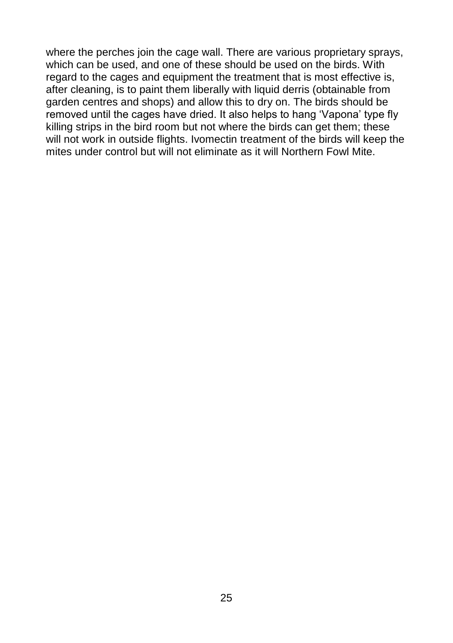where the perches join the cage wall. There are various proprietary sprays, which can be used, and one of these should be used on the birds. With regard to the cages and equipment the treatment that is most effective is, after cleaning, is to paint them liberally with liquid derris (obtainable from garden centres and shops) and allow this to dry on. The birds should be removed until the cages have dried. It also helps to hang 'Vapona' type fly killing strips in the bird room but not where the birds can get them; these will not work in outside flights. Ivomectin treatment of the birds will keep the mites under control but will not eliminate as it will Northern Fowl Mite.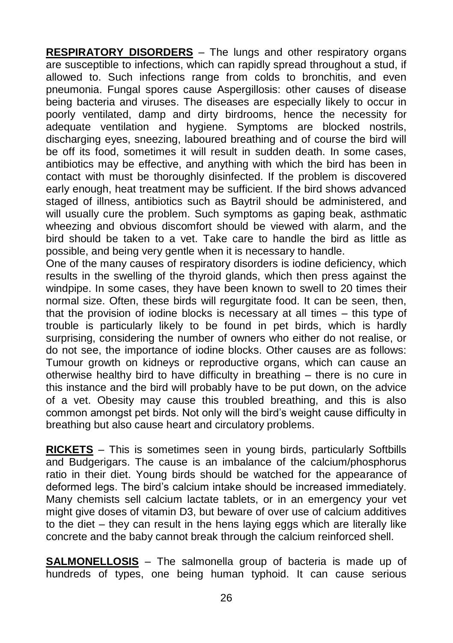**RESPIRATORY DISORDERS** – The lungs and other respiratory organs are susceptible to infections, which can rapidly spread throughout a stud, if allowed to. Such infections range from colds to bronchitis, and even pneumonia. Fungal spores cause Aspergillosis: other causes of disease being bacteria and viruses. The diseases are especially likely to occur in poorly ventilated, damp and dirty birdrooms, hence the necessity for adequate ventilation and hygiene. Symptoms are blocked nostrils, discharging eyes, sneezing, laboured breathing and of course the bird will be off its food, sometimes it will result in sudden death. In some cases, antibiotics may be effective, and anything with which the bird has been in contact with must be thoroughly disinfected. If the problem is discovered early enough, heat treatment may be sufficient. If the bird shows advanced staged of illness, antibiotics such as Baytril should be administered, and will usually cure the problem. Such symptoms as gaping beak, asthmatic wheezing and obvious discomfort should be viewed with alarm, and the bird should be taken to a vet. Take care to handle the bird as little as possible, and being very gentle when it is necessary to handle.

One of the many causes of respiratory disorders is iodine deficiency, which results in the swelling of the thyroid glands, which then press against the windpipe. In some cases, they have been known to swell to 20 times their normal size. Often, these birds will regurgitate food. It can be seen, then, that the provision of iodine blocks is necessary at all times – this type of trouble is particularly likely to be found in pet birds, which is hardly surprising, considering the number of owners who either do not realise, or do not see, the importance of iodine blocks. Other causes are as follows: Tumour growth on kidneys or reproductive organs, which can cause an otherwise healthy bird to have difficulty in breathing – there is no cure in this instance and the bird will probably have to be put down, on the advice of a vet. Obesity may cause this troubled breathing, and this is also common amongst pet birds. Not only will the bird's weight cause difficulty in breathing but also cause heart and circulatory problems.

**RICKETS** – This is sometimes seen in young birds, particularly Softbills and Budgerigars. The cause is an imbalance of the calcium/phosphorus ratio in their diet. Young birds should be watched for the appearance of deformed legs. The bird's calcium intake should be increased immediately. Many chemists sell calcium lactate tablets, or in an emergency your vet might give doses of vitamin D3, but beware of over use of calcium additives to the diet – they can result in the hens laying eggs which are literally like concrete and the baby cannot break through the calcium reinforced shell.

**SALMONELLOSIS** – The salmonella group of bacteria is made up of hundreds of types, one being human typhoid. It can cause serious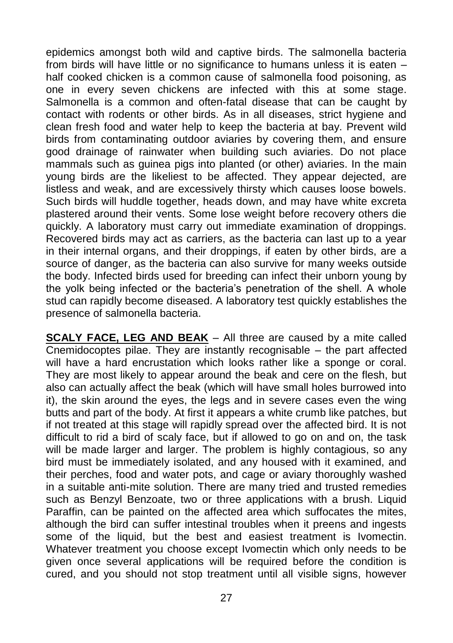epidemics amongst both wild and captive birds. The salmonella bacteria from birds will have little or no significance to humans unless it is eaten – half cooked chicken is a common cause of salmonella food poisoning, as one in every seven chickens are infected with this at some stage. Salmonella is a common and often-fatal disease that can be caught by contact with rodents or other birds. As in all diseases, strict hygiene and clean fresh food and water help to keep the bacteria at bay. Prevent wild birds from contaminating outdoor aviaries by covering them, and ensure good drainage of rainwater when building such aviaries. Do not place mammals such as guinea pigs into planted (or other) aviaries. In the main young birds are the likeliest to be affected. They appear dejected, are listless and weak, and are excessively thirsty which causes loose bowels. Such birds will huddle together, heads down, and may have white excreta plastered around their vents. Some lose weight before recovery others die quickly. A laboratory must carry out immediate examination of droppings. Recovered birds may act as carriers, as the bacteria can last up to a year in their internal organs, and their droppings, if eaten by other birds, are a source of danger, as the bacteria can also survive for many weeks outside the body. Infected birds used for breeding can infect their unborn young by the yolk being infected or the bacteria's penetration of the shell. A whole stud can rapidly become diseased. A laboratory test quickly establishes the presence of salmonella bacteria.

**SCALY FACE, LEG AND BEAK** – All three are caused by a mite called Cnemidocoptes pilae. They are instantly recognisable – the part affected will have a hard encrustation which looks rather like a sponge or coral. They are most likely to appear around the beak and cere on the flesh, but also can actually affect the beak (which will have small holes burrowed into it), the skin around the eyes, the legs and in severe cases even the wing butts and part of the body. At first it appears a white crumb like patches, but if not treated at this stage will rapidly spread over the affected bird. It is not difficult to rid a bird of scaly face, but if allowed to go on and on, the task will be made larger and larger. The problem is highly contagious, so any bird must be immediately isolated, and any housed with it examined, and their perches, food and water pots, and cage or aviary thoroughly washed in a suitable anti-mite solution. There are many tried and trusted remedies such as Benzyl Benzoate, two or three applications with a brush. Liquid Paraffin, can be painted on the affected area which suffocates the mites, although the bird can suffer intestinal troubles when it preens and ingests some of the liquid, but the best and easiest treatment is Ivomectin. Whatever treatment you choose except Ivomectin which only needs to be given once several applications will be required before the condition is cured, and you should not stop treatment until all visible signs, however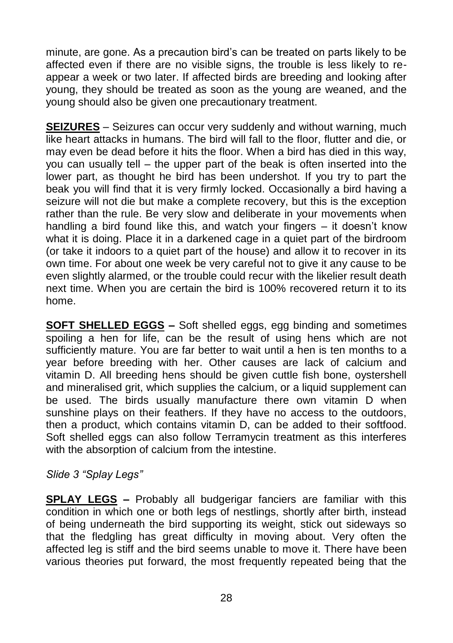minute, are gone. As a precaution bird's can be treated on parts likely to be affected even if there are no visible signs, the trouble is less likely to reappear a week or two later. If affected birds are breeding and looking after young, they should be treated as soon as the young are weaned, and the young should also be given one precautionary treatment.

**SEIZURES** – Seizures can occur very suddenly and without warning, much like heart attacks in humans. The bird will fall to the floor, flutter and die, or may even be dead before it hits the floor. When a bird has died in this way, you can usually tell – the upper part of the beak is often inserted into the lower part, as thought he bird has been undershot. If you try to part the beak you will find that it is very firmly locked. Occasionally a bird having a seizure will not die but make a complete recovery, but this is the exception rather than the rule. Be very slow and deliberate in your movements when handling a bird found like this, and watch your fingers – it doesn't know what it is doing. Place it in a darkened cage in a quiet part of the birdroom (or take it indoors to a quiet part of the house) and allow it to recover in its own time. For about one week be very careful not to give it any cause to be even slightly alarmed, or the trouble could recur with the likelier result death next time. When you are certain the bird is 100% recovered return it to its home.

**SOFT SHELLED EGGS –** Soft shelled eggs, egg binding and sometimes spoiling a hen for life, can be the result of using hens which are not sufficiently mature. You are far better to wait until a hen is ten months to a year before breeding with her. Other causes are lack of calcium and vitamin D. All breeding hens should be given cuttle fish bone, oystershell and mineralised grit, which supplies the calcium, or a liquid supplement can be used. The birds usually manufacture there own vitamin D when sunshine plays on their feathers. If they have no access to the outdoors, then a product, which contains vitamin D, can be added to their softfood. Soft shelled eggs can also follow Terramycin treatment as this interferes with the absorption of calcium from the intestine.

#### *Slide 3 "Splay Legs"*

**SPLAY LEGS –** Probably all budgerigar fanciers are familiar with this condition in which one or both legs of nestlings, shortly after birth, instead of being underneath the bird supporting its weight, stick out sideways so that the fledgling has great difficulty in moving about. Very often the affected leg is stiff and the bird seems unable to move it. There have been various theories put forward, the most frequently repeated being that the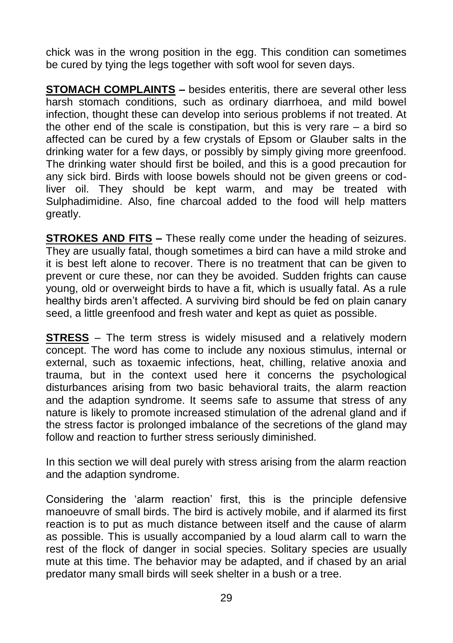chick was in the wrong position in the egg. This condition can sometimes be cured by tying the legs together with soft wool for seven days.

**STOMACH COMPLAINTS –** besides enteritis, there are several other less harsh stomach conditions, such as ordinary diarrhoea, and mild bowel infection, thought these can develop into serious problems if not treated. At the other end of the scale is constipation, but this is very rare – a bird so affected can be cured by a few crystals of Epsom or Glauber salts in the drinking water for a few days, or possibly by simply giving more greenfood. The drinking water should first be boiled, and this is a good precaution for any sick bird. Birds with loose bowels should not be given greens or codliver oil. They should be kept warm, and may be treated with Sulphadimidine. Also, fine charcoal added to the food will help matters greatly.

**STROKES AND FITS –** These really come under the heading of seizures. They are usually fatal, though sometimes a bird can have a mild stroke and it is best left alone to recover. There is no treatment that can be given to prevent or cure these, nor can they be avoided. Sudden frights can cause young, old or overweight birds to have a fit, which is usually fatal. As a rule healthy birds aren't affected. A surviving bird should be fed on plain canary seed, a little greenfood and fresh water and kept as quiet as possible.

**STRESS** – The term stress is widely misused and a relatively modern concept. The word has come to include any noxious stimulus, internal or external, such as toxaemic infections, heat, chilling, relative anoxia and trauma, but in the context used here it concerns the psychological disturbances arising from two basic behavioral traits, the alarm reaction and the adaption syndrome. It seems safe to assume that stress of any nature is likely to promote increased stimulation of the adrenal gland and if the stress factor is prolonged imbalance of the secretions of the gland may follow and reaction to further stress seriously diminished.

In this section we will deal purely with stress arising from the alarm reaction and the adaption syndrome.

Considering the 'alarm reaction' first, this is the principle defensive manoeuvre of small birds. The bird is actively mobile, and if alarmed its first reaction is to put as much distance between itself and the cause of alarm as possible. This is usually accompanied by a loud alarm call to warn the rest of the flock of danger in social species. Solitary species are usually mute at this time. The behavior may be adapted, and if chased by an arial predator many small birds will seek shelter in a bush or a tree.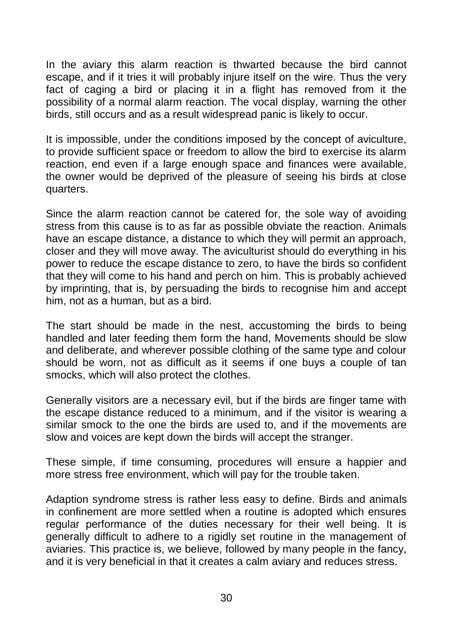In the aviary this alarm reaction is thwarted because the bird cannot escape, and if it tries it will probably injure itself on the wire. Thus the very fact of caging a bird or placing it in a flight has removed from it the possibility of a normal alarm reaction. The vocal display, warning the other birds, still occurs and as a result widespread panic is likely to occur.

It is impossible, under the conditions imposed by the concept of aviculture, to provide sufficient space or freedom to allow the bird to exercise its alarm reaction, end even if a large enough space and finances were available, the owner would be deprived of the pleasure of seeing his birds at close quarters.

Since the alarm reaction cannot be catered for, the sole way of avoiding stress from this cause is to as far as possible obviate the reaction. Animals have an escape distance, a distance to which they will permit an approach, closer and they will move away. The aviculturist should do everything in his power to reduce the escape distance to zero, to have the birds so confident that they will come to his hand and perch on him. This is probably achieved by imprinting, that is, by persuading the birds to recognise him and accept him, not as a human, but as a bird.

The start should be made in the nest, accustoming the birds to being handled and later feeding them form the hand, Movements should be slow and deliberate, and wherever possible clothing of the same type and colour should be worn, not as difficult as it seems if one buys a couple of tan smocks, which will also protect the clothes.

Generally visitors are a necessary evil, but if the birds are finger tame with the escape distance reduced to a minimum, and if the visitor is wearing a similar smock to the one the birds are used to, and if the movements are slow and voices are kept down the birds will accept the stranger.

These simple, if time consuming, procedures will ensure a happier and more stress free environment, which will pay for the trouble taken.

Adaption syndrome stress is rather less easy to define. Birds and animals in confinement are more settled when a routine is adopted which ensures regular performance of the duties necessary for their well being. It is generally difficult to adhere to a rigidly set routine in the management of aviaries. This practice is, we believe, followed by many people in the fancy, and it is very beneficial in that it creates a calm aviary and reduces stress.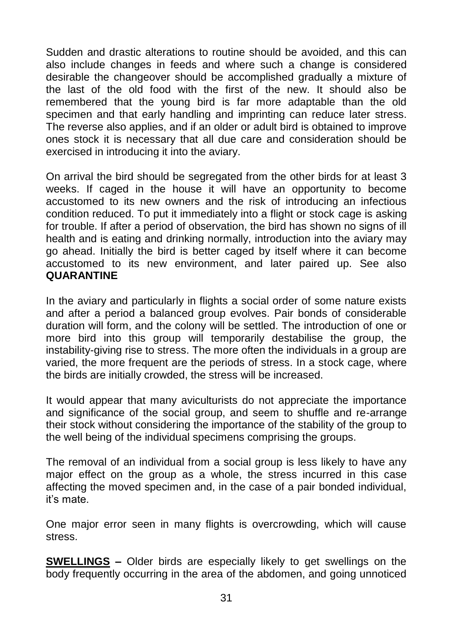Sudden and drastic alterations to routine should be avoided, and this can also include changes in feeds and where such a change is considered desirable the changeover should be accomplished gradually a mixture of the last of the old food with the first of the new. It should also be remembered that the young bird is far more adaptable than the old specimen and that early handling and imprinting can reduce later stress. The reverse also applies, and if an older or adult bird is obtained to improve ones stock it is necessary that all due care and consideration should be exercised in introducing it into the aviary.

On arrival the bird should be segregated from the other birds for at least 3 weeks. If caged in the house it will have an opportunity to become accustomed to its new owners and the risk of introducing an infectious condition reduced. To put it immediately into a flight or stock cage is asking for trouble. If after a period of observation, the bird has shown no signs of ill health and is eating and drinking normally, introduction into the aviary may go ahead. Initially the bird is better caged by itself where it can become accustomed to its new environment, and later paired up. See also **QUARANTINE**

In the aviary and particularly in flights a social order of some nature exists and after a period a balanced group evolves. Pair bonds of considerable duration will form, and the colony will be settled. The introduction of one or more bird into this group will temporarily destabilise the group, the instability-giving rise to stress. The more often the individuals in a group are varied, the more frequent are the periods of stress. In a stock cage, where the birds are initially crowded, the stress will be increased.

It would appear that many aviculturists do not appreciate the importance and significance of the social group, and seem to shuffle and re-arrange their stock without considering the importance of the stability of the group to the well being of the individual specimens comprising the groups.

The removal of an individual from a social group is less likely to have any major effect on the group as a whole, the stress incurred in this case affecting the moved specimen and, in the case of a pair bonded individual, it's mate.

One major error seen in many flights is overcrowding, which will cause stress.

**SWELLINGS –** Older birds are especially likely to get swellings on the body frequently occurring in the area of the abdomen, and going unnoticed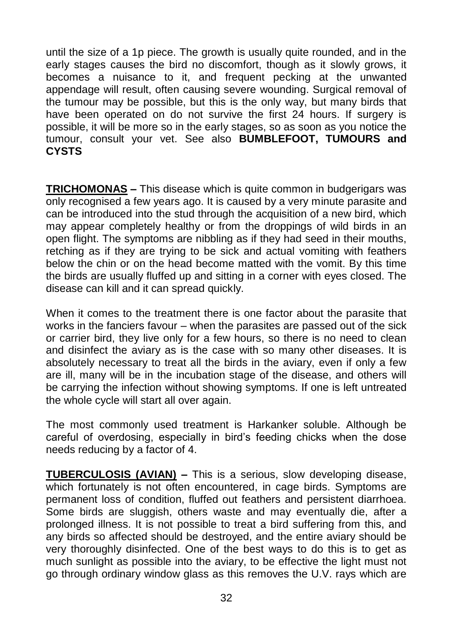until the size of a 1p piece. The growth is usually quite rounded, and in the early stages causes the bird no discomfort, though as it slowly grows, it becomes a nuisance to it, and frequent pecking at the unwanted appendage will result, often causing severe wounding. Surgical removal of the tumour may be possible, but this is the only way, but many birds that have been operated on do not survive the first 24 hours. If surgery is possible, it will be more so in the early stages, so as soon as you notice the tumour, consult your vet. See also **BUMBLEFOOT, TUMOURS and CYSTS**

**TRICHOMONAS –** This disease which is quite common in budgerigars was only recognised a few years ago. It is caused by a very minute parasite and can be introduced into the stud through the acquisition of a new bird, which may appear completely healthy or from the droppings of wild birds in an open flight. The symptoms are nibbling as if they had seed in their mouths, retching as if they are trying to be sick and actual vomiting with feathers below the chin or on the head become matted with the vomit. By this time the birds are usually fluffed up and sitting in a corner with eyes closed. The disease can kill and it can spread quickly.

When it comes to the treatment there is one factor about the parasite that works in the fanciers favour – when the parasites are passed out of the sick or carrier bird, they live only for a few hours, so there is no need to clean and disinfect the aviary as is the case with so many other diseases. It is absolutely necessary to treat all the birds in the aviary, even if only a few are ill, many will be in the incubation stage of the disease, and others will be carrying the infection without showing symptoms. If one is left untreated the whole cycle will start all over again.

The most commonly used treatment is Harkanker soluble. Although be careful of overdosing, especially in bird's feeding chicks when the dose needs reducing by a factor of 4.

**TUBERCULOSIS (AVIAN) –** This is a serious, slow developing disease, which fortunately is not often encountered, in cage birds. Symptoms are permanent loss of condition, fluffed out feathers and persistent diarrhoea. Some birds are sluggish, others waste and may eventually die, after a prolonged illness. It is not possible to treat a bird suffering from this, and any birds so affected should be destroyed, and the entire aviary should be very thoroughly disinfected. One of the best ways to do this is to get as much sunlight as possible into the aviary, to be effective the light must not go through ordinary window glass as this removes the U.V. rays which are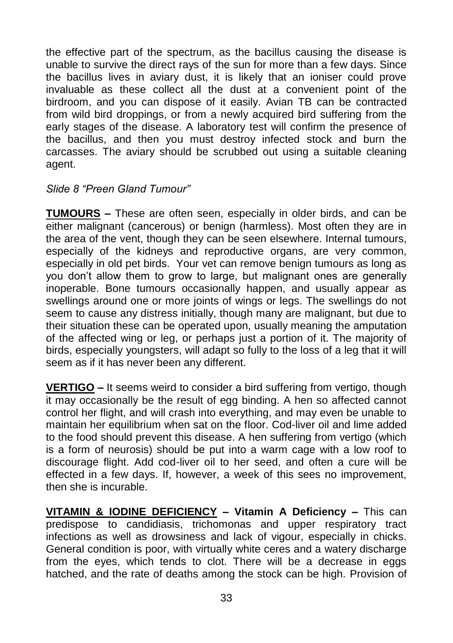the effective part of the spectrum, as the bacillus causing the disease is unable to survive the direct rays of the sun for more than a few days. Since the bacillus lives in aviary dust, it is likely that an ioniser could prove invaluable as these collect all the dust at a convenient point of the birdroom, and you can dispose of it easily. Avian TB can be contracted from wild bird droppings, or from a newly acquired bird suffering from the early stages of the disease. A laboratory test will confirm the presence of the bacillus, and then you must destroy infected stock and burn the carcasses. The aviary should be scrubbed out using a suitable cleaning agent.

#### *Slide 8 "Preen Gland Tumour"*

**TUMOURS –** These are often seen, especially in older birds, and can be either malignant (cancerous) or benign (harmless). Most often they are in the area of the vent, though they can be seen elsewhere. Internal tumours, especially of the kidneys and reproductive organs, are very common, especially in old pet birds. Your vet can remove benign tumours as long as you don't allow them to grow to large, but malignant ones are generally inoperable. Bone tumours occasionally happen, and usually appear as swellings around one or more joints of wings or legs. The swellings do not seem to cause any distress initially, though many are malignant, but due to their situation these can be operated upon, usually meaning the amputation of the affected wing or leg, or perhaps just a portion of it. The majority of birds, especially youngsters, will adapt so fully to the loss of a leg that it will seem as if it has never been any different.

**VERTIGO –** It seems weird to consider a bird suffering from vertigo, though it may occasionally be the result of egg binding. A hen so affected cannot control her flight, and will crash into everything, and may even be unable to maintain her equilibrium when sat on the floor. Cod-liver oil and lime added to the food should prevent this disease. A hen suffering from vertigo (which is a form of neurosis) should be put into a warm cage with a low roof to discourage flight. Add cod-liver oil to her seed, and often a cure will be effected in a few days. If, however, a week of this sees no improvement, then she is incurable.

**VITAMIN & IODINE DEFICIENCY – Vitamin A Deficiency –** This can predispose to candidiasis, trichomonas and upper respiratory tract infections as well as drowsiness and lack of vigour, especially in chicks. General condition is poor, with virtually white ceres and a watery discharge from the eyes, which tends to clot. There will be a decrease in eggs hatched, and the rate of deaths among the stock can be high. Provision of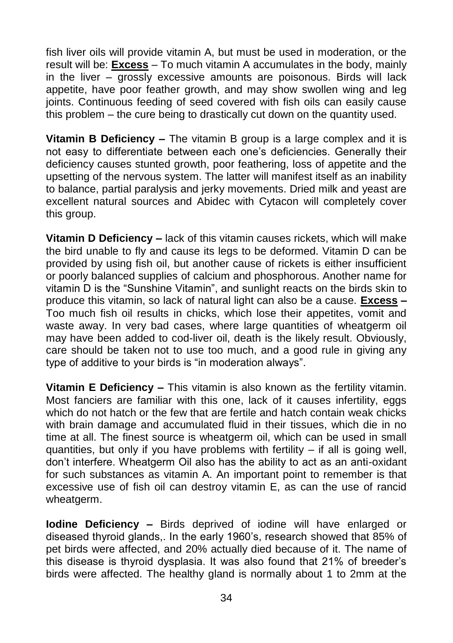fish liver oils will provide vitamin A, but must be used in moderation, or the result will be: **Excess** – To much vitamin A accumulates in the body, mainly in the liver – grossly excessive amounts are poisonous. Birds will lack appetite, have poor feather growth, and may show swollen wing and leg joints. Continuous feeding of seed covered with fish oils can easily cause this problem – the cure being to drastically cut down on the quantity used.

**Vitamin B Deficiency –** The vitamin B group is a large complex and it is not easy to differentiate between each one's deficiencies. Generally their deficiency causes stunted growth, poor feathering, loss of appetite and the upsetting of the nervous system. The latter will manifest itself as an inability to balance, partial paralysis and jerky movements. Dried milk and yeast are excellent natural sources and Abidec with Cytacon will completely cover this group.

**Vitamin D Deficiency –** lack of this vitamin causes rickets, which will make the bird unable to fly and cause its legs to be deformed. Vitamin D can be provided by using fish oil, but another cause of rickets is either insufficient or poorly balanced supplies of calcium and phosphorous. Another name for vitamin D is the "Sunshine Vitamin", and sunlight reacts on the birds skin to produce this vitamin, so lack of natural light can also be a cause. **Excess –** Too much fish oil results in chicks, which lose their appetites, vomit and waste away. In very bad cases, where large quantities of wheatgerm oil may have been added to cod-liver oil, death is the likely result. Obviously, care should be taken not to use too much, and a good rule in giving any type of additive to your birds is "in moderation always".

**Vitamin E Deficiency –** This vitamin is also known as the fertility vitamin. Most fanciers are familiar with this one, lack of it causes infertility, eggs which do not hatch or the few that are fertile and hatch contain weak chicks with brain damage and accumulated fluid in their tissues, which die in no time at all. The finest source is wheatgerm oil, which can be used in small quantities, but only if you have problems with fertility – if all is going well, don't interfere. Wheatgerm Oil also has the ability to act as an anti-oxidant for such substances as vitamin A. An important point to remember is that excessive use of fish oil can destroy vitamin E, as can the use of rancid wheatgerm.

**Iodine Deficiency –** Birds deprived of iodine will have enlarged or diseased thyroid glands,. In the early 1960's, research showed that 85% of pet birds were affected, and 20% actually died because of it. The name of this disease is thyroid dysplasia. It was also found that 21% of breeder's birds were affected. The healthy gland is normally about 1 to 2mm at the